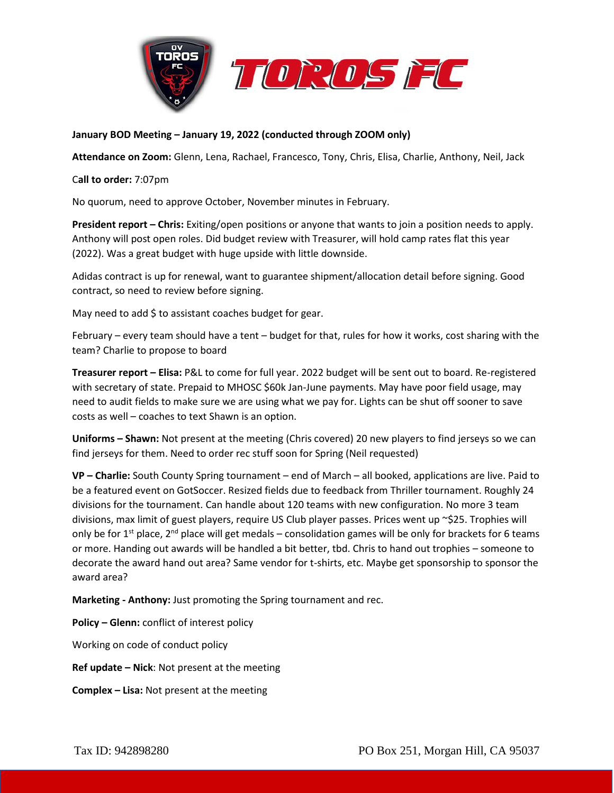



## **January BOD Meeting – January 19, 2022 (conducted through ZOOM only)**

**Attendance on Zoom:** Glenn, Lena, Rachael, Francesco, Tony, Chris, Elisa, Charlie, Anthony, Neil, Jack

## C**all to order:** 7:07pm

No quorum, need to approve October, November minutes in February.

**President report – Chris:** Exiting/open positions or anyone that wants to join a position needs to apply. Anthony will post open roles. Did budget review with Treasurer, will hold camp rates flat this year (2022). Was a great budget with huge upside with little downside.

Adidas contract is up for renewal, want to guarantee shipment/allocation detail before signing. Good contract, so need to review before signing.

May need to add \$ to assistant coaches budget for gear.

February – every team should have a tent – budget for that, rules for how it works, cost sharing with the team? Charlie to propose to board

**Treasurer report – Elisa:** P&L to come for full year. 2022 budget will be sent out to board. Re-registered with secretary of state. Prepaid to MHOSC \$60k Jan-June payments. May have poor field usage, may need to audit fields to make sure we are using what we pay for. Lights can be shut off sooner to save costs as well – coaches to text Shawn is an option.

**Uniforms – Shawn:** Not present at the meeting (Chris covered) 20 new players to find jerseys so we can find jerseys for them. Need to order rec stuff soon for Spring (Neil requested)

**VP – Charlie:** South County Spring tournament – end of March – all booked, applications are live. Paid to be a featured event on GotSoccer. Resized fields due to feedback from Thriller tournament. Roughly 24 divisions for the tournament. Can handle about 120 teams with new configuration. No more 3 team divisions, max limit of guest players, require US Club player passes. Prices went up ~\$25. Trophies will only be for  $1^{st}$  place,  $2^{nd}$  place will get medals – consolidation games will be only for brackets for 6 teams or more. Handing out awards will be handled a bit better, tbd. Chris to hand out trophies – someone to decorate the award hand out area? Same vendor for t-shirts, etc. Maybe get sponsorship to sponsor the award area?

**Marketing - Anthony:** Just promoting the Spring tournament and rec.

**Policy – Glenn:** conflict of interest policy

Working on code of conduct policy

**Ref update – Nick**: Not present at the meeting

**Complex – Lisa:** Not present at the meeting